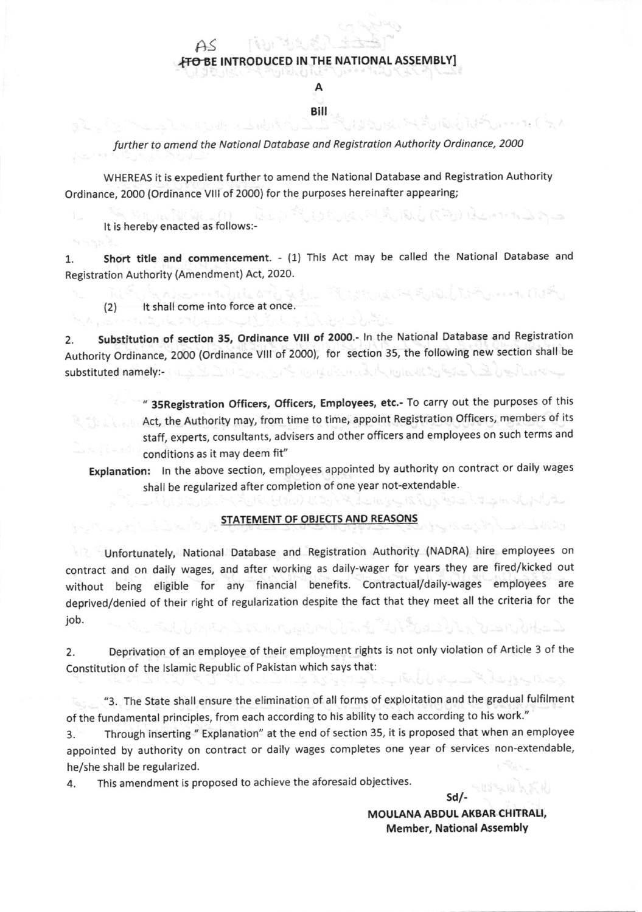## $H$  $>$ **FTO BE INTRODUCED IN THE NATIONAL ASSEMBLY**

A Bill

## further to omend the Notionol Dotobose ond Registration Authority Ordinonce, 2000

WHEREAS it is expedient further to amend the National Database and Registration Authority Ordinance, 2000 (Ordinance vlll of 2000) for the purposes hereinafter appearing;

It is hereby enacted as follows:-

1. Short title and commencement. - (1) This Act may be called the National Database and Registration Authority (Amendment) Act, 2020.

(2) It shall come into force at once.

2. Substitution of section 35, Ordinance VIII of 2000.- In the National Database and Registration Authority Ordinance, 2OOO (Ordinance Vllt of 2OO0), for section 35, the following new section shall be substituted namely:- Collection of the substituted namely: تهير الموردان والحزر ودور بالبر الموراور مالي كام لصنائب

" 35 Registration Officers, Officers, Employees, etc.- To carry out the purposes of this Act, the Authority may, from time to time, appoint Registration Officers, members of its staff, experts, consultants, advisers and other officers and employees on such terms and conditions as it may deem fit"

Explanation: ln the above section, employees appointed by authority on contract or daily wages shall be regularized after completion of one year not-extendable.

## STATEMENT OF OBJECTS AND REASONS

unfortunately, National Database and Registration Authority (NADRA) hire employees on contract and on daily wages, and after working as daily-wager for years they are fired/kicked out without being eligible for any financial benefits. Contractual/daily-wages employees are deprived/denied of their right of regularization despite the fact that they meet all the criteria for the job.

2. Deprivation of an employee of their employment rights is not only violation of Article 3 of the Constitution of the lslamic Republic of Pakistan which says that:

"3. The State shall ensure the elimination of all forms of exploitation and the gradual fulfilment of the fundamental principles, from each according to his ability to each according to his work."

3. Through inserting " Explanation" at the end of section 35, it is proposed that when an employee appointed by authority on contract or daily wages completes one year of services non-extendable, he/she shall be regularized.

4. This amendment is proposed to achieve the aforesaid objectives.

MOULANA ABDUL AKBAR CHITRALI, Member, National Assembly

sdl-

المائتين والمستقر المتعارض والمراجي والمراكض والمراكض والمتراكض والمحافظ والمراكض والمراكض والمراكض

الطائيش أبدوه ووسعته والمتصري

In the PCD started Braz

그리다 가 가게 잘 하는 것이 아니라. 실기 없다